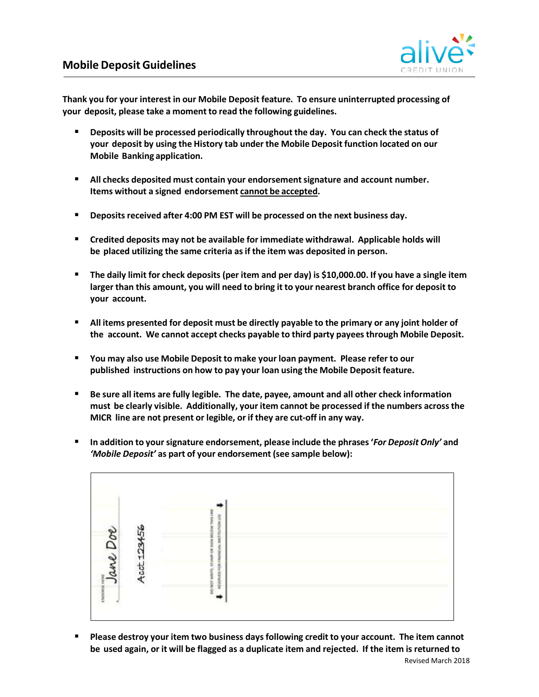

**Thank you for your interest in our Mobile Deposit feature. To ensure uninterrupted processing of your deposit, please take a moment to read the following guidelines.** 

- **Deposits will be processed periodically throughout the day. You can check the status of your deposit by using the History tab under the Mobile Deposit function located on our Mobile Banking application.**
- **All checks deposited must contain your endorsement signature and account number. Items without a signed endorsement cannot be accepted.**
- **Deposits received after 4:00 PM EST will be processed on the next business day.**
- **Credited deposits may not be available for immediate withdrawal. Applicable holds will be placed utilizing the same criteria as if the item was deposited in person.**
- **The daily limit for check deposits (per item and per day) is \$10,000.00. If you have a single item larger than this amount, you will need to bring it to your nearest branch office for deposit to your account.**
- **All items presented for deposit must be directly payable to the primary or any joint holder of the account. We cannot accept checks payable to third party payees through Mobile Deposit.**
- **You may also use Mobile Deposit to make your loan payment. Please refer to our published instructions on how to pay your loan using the Mobile Deposit feature.**
- **Be sure all items are fully legible. The date, payee, amount and all other check information must be clearly visible. Additionally, your item cannot be processed if the numbers across the MICR line are not present or legible, or if they are cut‐off in any way.**
- **In addition to your signature endorsement, please include the phrases '***For Deposit Only'* **and**  *'Mobile Deposit'* **as part of your endorsement (see sample below):**



 **Please destroy your item two business days following credit to your account. The item cannot be used again, or it will be flagged as a duplicate item and rejected. If the item is returned to**